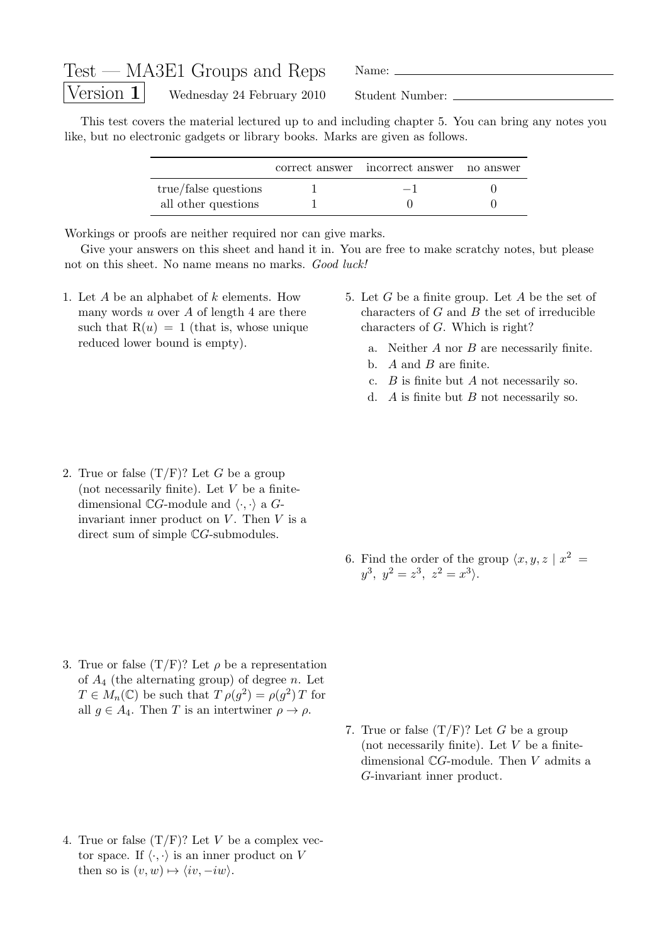| $Test - MASE1$ Groups and Reps                          | Name:           |
|---------------------------------------------------------|-----------------|
| $\sqrt{\text{Version 1}}$<br>Wednesday 24 February 2010 | Student Number: |

This test covers the material lectured up to and including chapter 5. You can bring any notes you like, but no electronic gadgets or library books. Marks are given as follows.

|                      | correct answer incorrect answer no answer |  |
|----------------------|-------------------------------------------|--|
| true/false questions | $-1$                                      |  |
| all other questions  |                                           |  |

Workings or proofs are neither required nor can give marks.

Give your answers on this sheet and hand it in. You are free to make scratchy notes, but please not on this sheet. No name means no marks. Good luck!

- 1. Let A be an alphabet of k elements. How many words  $u$  over  $A$  of length 4 are there such that  $R(u) = 1$  (that is, whose unique reduced lower bound is empty).
- 5. Let G be a finite group. Let A be the set of characters of  $G$  and  $B$  the set of irreducible characters of G. Which is right?
	- a. Neither  $A$  nor  $B$  are necessarily finite.
	- b.  $A$  and  $B$  are finite.
	- c.  $B$  is finite but  $A$  not necessarily so.
	- d.  $A$  is finite but  $B$  not necessarily so.
- 2. True or false  $(T/F)$ ? Let G be a group (not necessarily finite). Let  $V$  be a finitedimensional  $\mathbb{C}G$ -module and  $\langle \cdot, \cdot \rangle$  a  $G$ invariant inner product on  $V$ . Then  $V$  is a direct sum of simple  $\mathbb{C}G$ -submodules.
- 6. Find the order of the group  $\langle x, y, z | x^2 =$  $y^3, y^2 = z^3, z^2 = x^3$ .
- 3. True or false  $(T/F)$ ? Let  $\rho$  be a representation of  $A_4$  (the alternating group) of degree n. Let  $T \in M_n(\mathbb{C})$  be such that  $T \rho(g^2) = \rho(g^2) T$  for all  $q \in A_4$ . Then T is an intertwiner  $\rho \to \rho$ .
- 7. True or false  $(T/F)$ ? Let G be a group (not necessarily finite). Let  $V$  be a finitedimensional CG-module. Then V admits a G-invariant inner product.
- 4. True or false  $(T/F)$ ? Let V be a complex vector space. If  $\langle \cdot, \cdot \rangle$  is an inner product on V then so is  $(v, w) \mapsto \langle iv, -iw \rangle$ .